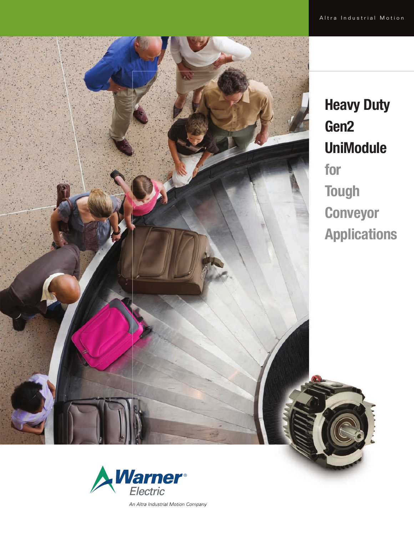

**Heavy Duty Gen2 UniModule for Tough Conveyor Applications**



An Altra Industrial Motion Company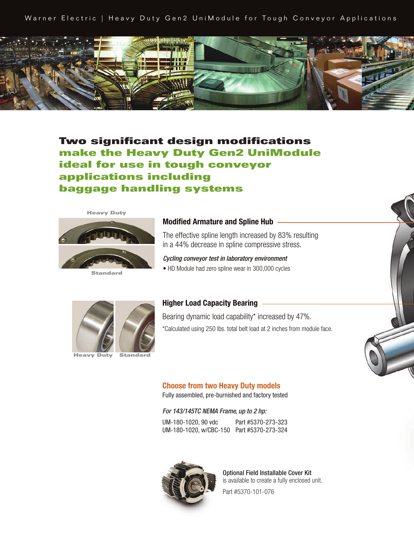Warner Electric | Heavy Duty Gen2 UniModule for Tough Conveyor Applications



**Two significant design modifications make the Heavy Duty Gen2 UniModule ideal for use in tough conveyor applications including baggage handling systems**



**Standard**

## **Modified Armature and Spline Hub**

The effective spline length increased by 83% resulting in a 44% decrease in spline compressive stress.

*Cycling conveyor test in laboratory environment* • HD Module had zero spline wear in 300,000 cycles



**Standard Heavy Duty**

## **Higher Load Capacity Bearing**

\*Calculated using 250 lbs. total belt load at 2 inches from module face. Bearing dynamic load capability\* increased by 47%.

## **Choose from two Heavy Duty models**

Fully assembled, pre-burnished and factory tested

## *For 143/145TC NEMA Frame, up to 2 hp:*

UM-180-1020, 90 vdc Part #5370-273-323 UM-180-1020, w/CBC-150 Part #5370-273-324



Optional Field Installable Cover Kit is available to create a fully enclosed unit.

Part #5370-101-076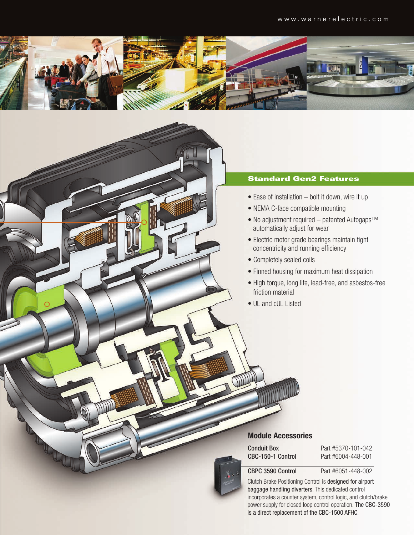

# **Standard Gen2 Features**

- Ease of installation bolt it down, wire it up
- NEMA C-face compatible mounting
- No adjustment required patented Autogaps™ automatically adjust for wear
- Electric motor grade bearings maintain tight concentricity and running efficiency
- Completely sealed coils
- Finned housing for maximum heat dissipation
- High torque, long life, lead-free, and asbestos-free friction material
- UL and cUL Listed

## **Module Accessories**

**Conduit Box** Part #5370-101-042<br>**CBC-150-1 Control** Part #6004-448-001 Part #6004-448-001

 $\mathbb{O}$ 

CBPC 3590 Control Part #6051-448-002

Clutch Brake Positioning Control is designed for airport baggage handling diverters. This dedicated control incorporates a counter system, control logic, and clutch/brake power supply for closed loop control operation. The CBC-3590 is a direct replacement of the CBC-1500 AFHC.